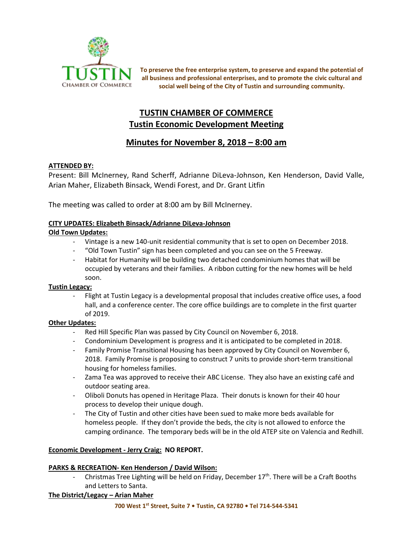

**To preserve the free enterprise system, to preserve and expand the potential of all business and professional enterprises, and to promote the civic cultural and social well being of the City of Tustin and surrounding community.**

# **TUSTIN CHAMBER OF COMMERCE Tustin Economic Development Meeting**

# **Minutes for November 8, 2018 – 8:00 am**

# **ATTENDED BY:**

Present: Bill McInerney, Rand Scherff, Adrianne DiLeva-Johnson, Ken Henderson, David Valle, Arian Maher, Elizabeth Binsack, Wendi Forest, and Dr. Grant Litfin

The meeting was called to order at 8:00 am by Bill McInerney.

### **CITY UPDATES: Elizabeth Binsack/Adrianne DiLeva-Johnson**

# **Old Town Updates:**

- Vintage is a new 140-unit residential community that is set to open on December 2018.
- "Old Town Tustin" sign has been completed and you can see on the 5 Freeway.
- Habitat for Humanity will be building two detached condominium homes that will be occupied by veterans and their families. A ribbon cutting for the new homes will be held soon.

### **Tustin Legacy:**

- Flight at Tustin Legacy is a developmental proposal that includes creative office uses, a food hall, and a conference center. The core office buildings are to complete in the first quarter of 2019.

### **Other Updates:**

- Red Hill Specific Plan was passed by City Council on November 6, 2018.
- Condominium Development is progress and it is anticipated to be completed in 2018.
- Family Promise Transitional Housing has been approved by City Council on November 6, 2018. Family Promise is proposing to construct 7 units to provide short-term transitional housing for homeless families.
- Zama Tea was approved to receive their ABC License. They also have an existing café and outdoor seating area.
- Oliboli Donuts has opened in Heritage Plaza. Their donuts is known for their 40 hour process to develop their unique dough.
- The City of Tustin and other cities have been sued to make more beds available for homeless people. If they don't provide the beds, the city is not allowed to enforce the camping ordinance. The temporary beds will be in the old ATEP site on Valencia and Redhill.

### **Economic Development - Jerry Craig: NO REPORT.**

### **PARKS & RECREATION- Ken Henderson / David Wilson:**

Christmas Tree Lighting will be held on Friday, December  $17<sup>th</sup>$ . There will be a Craft Booths and Letters to Santa.

### **The District/Legacy – Arian Maher**